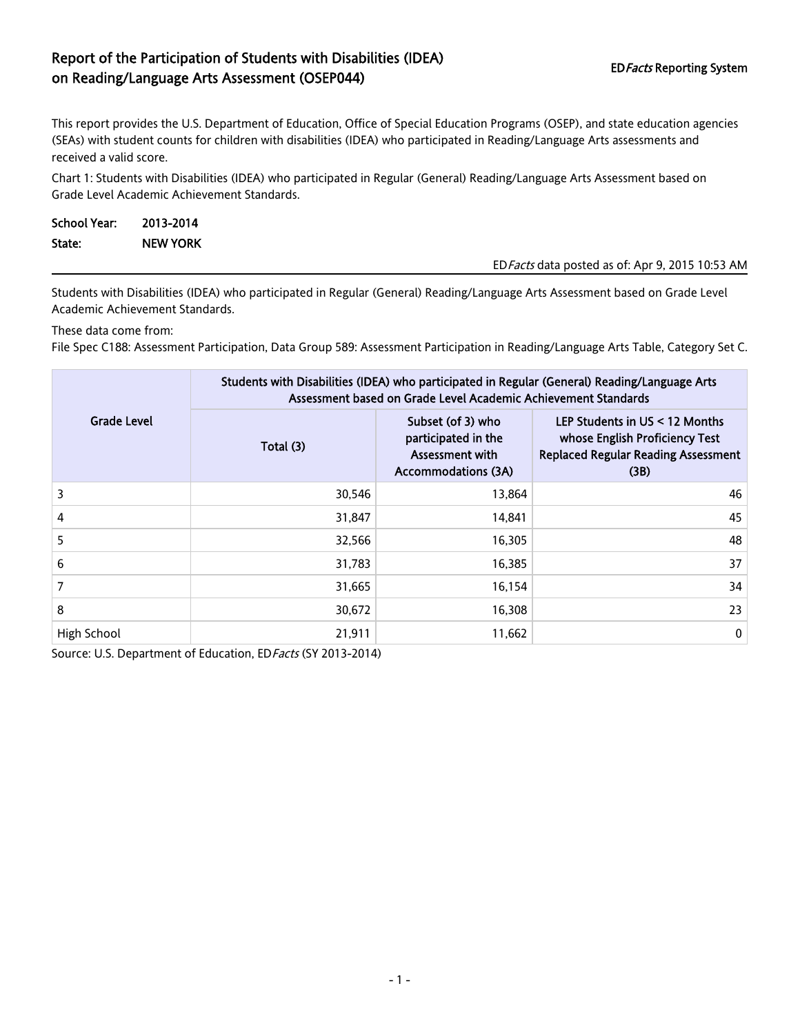## Report of the Participation of Students with Disabilities (IDEA) EDFacts Reporting System<br>
on Reading/Language Arts Assessment (OSEP044)

This report provides the U.S. Department of Education, Office of Special Education Programs (OSEP), and state education agencies (SEAs) with student counts for children with disabilities (IDEA) who participated in Reading/Language Arts assessments and received a valid score.

Chart 1: Students with Disabilities (IDEA) who participated in Regular (General) Reading/Language Arts Assessment based on Grade Level Academic Achievement Standards.

| <b>School Year:</b> | 2013-2014       |                                                  |
|---------------------|-----------------|--------------------------------------------------|
| State:              | <b>NEW YORK</b> |                                                  |
|                     |                 | ED Facts data posted as of: Apr 9, 2015 10:53 AM |

Students with Disabilities (IDEA) who participated in Regular (General) Reading/Language Arts Assessment based on Grade Level Academic Achievement Standards.

These data come from:

File Spec C188: Assessment Participation, Data Group 589: Assessment Participation in Reading/Language Arts Table, Category Set C.

|                    | Students with Disabilities (IDEA) who participated in Regular (General) Reading/Language Arts<br>Assessment based on Grade Level Academic Achievement Standards |                                                                                           |                                                                                                                        |  |  |
|--------------------|-----------------------------------------------------------------------------------------------------------------------------------------------------------------|-------------------------------------------------------------------------------------------|------------------------------------------------------------------------------------------------------------------------|--|--|
| <b>Grade Level</b> | Total (3)                                                                                                                                                       | Subset (of 3) who<br>participated in the<br>Assessment with<br><b>Accommodations (3A)</b> | LEP Students in US < 12 Months<br>whose English Proficiency Test<br><b>Replaced Regular Reading Assessment</b><br>(3B) |  |  |
| 3                  | 30,546                                                                                                                                                          | 13,864                                                                                    | 46                                                                                                                     |  |  |
| 4                  | 31,847                                                                                                                                                          | 14,841                                                                                    | 45                                                                                                                     |  |  |
| 5                  | 32,566                                                                                                                                                          | 16,305                                                                                    | 48                                                                                                                     |  |  |
| 6                  | 31,783                                                                                                                                                          | 16,385                                                                                    | 37                                                                                                                     |  |  |
| 7                  | 31,665                                                                                                                                                          | 16,154                                                                                    | 34                                                                                                                     |  |  |
| 8                  | 30,672                                                                                                                                                          | 16,308                                                                                    | 23                                                                                                                     |  |  |
| High School        | 21,911                                                                                                                                                          | 11,662                                                                                    | $\mathbf 0$                                                                                                            |  |  |

Source: U.S. Department of Education, ED Facts (SY 2013-2014)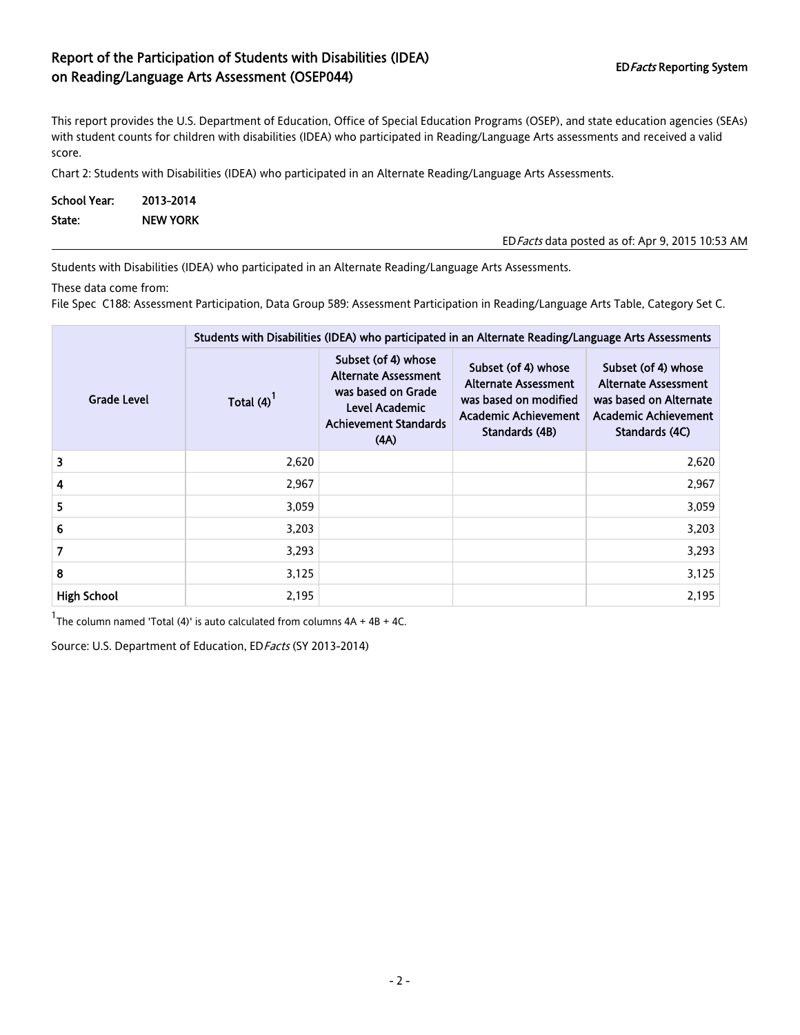## Report of the Participation of Students with Disabilities (IDEA) EDFacts Reporting System on Reading/Language Arts Assessment (OSEP044)

This report provides the U.S. Department of Education, Office of Special Education Programs (OSEP), and state education agencies (SEAs) with student counts for children with disabilities (IDEA) who participated in Reading/Language Arts assessments and received a valid score.

Chart 2: Students with Disabilities (IDEA) who participated in an Alternate Reading/Language Arts Assessments.

| <b>School Year:</b> | 2013-2014       |                                                  |
|---------------------|-----------------|--------------------------------------------------|
| State:              | <b>NEW YORK</b> |                                                  |
|                     |                 | ED Facts data posted as of: Apr 9, 2015 10:53 AM |

Students with Disabilities (IDEA) who participated in an Alternate Reading/Language Arts Assessments.

These data come from:

File Spec C188: Assessment Participation, Data Group 589: Assessment Participation in Reading/Language Arts Table, Category Set C.

|                    | Students with Disabilities (IDEA) who participated in an Alternate Reading/Language Arts Assessments |                                                                                                                                    |                                                                                                                              |                                                                                                                               |  |  |
|--------------------|------------------------------------------------------------------------------------------------------|------------------------------------------------------------------------------------------------------------------------------------|------------------------------------------------------------------------------------------------------------------------------|-------------------------------------------------------------------------------------------------------------------------------|--|--|
| <b>Grade Level</b> | Total (4)                                                                                            | Subset (of 4) whose<br><b>Alternate Assessment</b><br>was based on Grade<br>Level Academic<br><b>Achievement Standards</b><br>(AA) | Subset (of 4) whose<br><b>Alternate Assessment</b><br>was based on modified<br><b>Academic Achievement</b><br>Standards (4B) | Subset (of 4) whose<br><b>Alternate Assessment</b><br>was based on Alternate<br><b>Academic Achievement</b><br>Standards (4C) |  |  |
| 3                  | 2,620                                                                                                |                                                                                                                                    |                                                                                                                              | 2,620                                                                                                                         |  |  |
| 4                  | 2,967                                                                                                |                                                                                                                                    |                                                                                                                              | 2,967                                                                                                                         |  |  |
| 5.                 | 3,059                                                                                                |                                                                                                                                    |                                                                                                                              | 3,059                                                                                                                         |  |  |
| 6                  | 3,203                                                                                                |                                                                                                                                    |                                                                                                                              | 3,203                                                                                                                         |  |  |
| 7                  | 3,293                                                                                                |                                                                                                                                    |                                                                                                                              | 3,293                                                                                                                         |  |  |
| 8                  | 3,125                                                                                                |                                                                                                                                    |                                                                                                                              | 3,125                                                                                                                         |  |  |
| <b>High School</b> | 2,195                                                                                                |                                                                                                                                    |                                                                                                                              | 2,195                                                                                                                         |  |  |

 $1$ The column named 'Total (4)' is auto calculated from columns  $4A + 4B + 4C$ .

Source: U.S. Department of Education, ED Facts (SY 2013-2014)